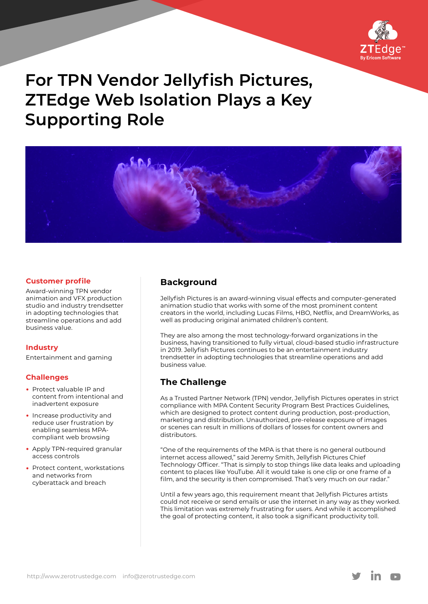

# **For TPN Vendor Jellyfish Pictures, ZTEdge Web Isolation Plays a Key Supporting Role**



#### **Customer profile**

Award-winning TPN vendor animation and VFX production studio and industry trendsetter in adopting technologies that streamline operations and add business value.

#### **Industry**

Entertainment and gaming

#### **Challenges**

- Protect valuable IP and content from intentional and inadvertent exposure
- Increase productivity and reduce user frustration by enabling seamless MPAcompliant web browsing
- Apply TPN-required granular access controls
- Protect content, workstations and networks from cyberattack and breach

# **Background**

Jellyfish Pictures is an award-winning visual effects and computer-generated animation studio that works with some of the most prominent content creators in the world, including Lucas Films, HBO, Netflix, and DreamWorks, as well as producing original animated children's content.

They are also among the most technology-forward organizations in the business, having transitioned to fully virtual, cloud-based studio infrastructure in 2019. Jellyfish Pictures continues to be an entertainment industry trendsetter in adopting technologies that streamline operations and add business value.

# **The Challenge**

As a Trusted Partner Network (TPN) vendor, Jellyfish Pictures operates in strict compliance with MPA Content Security Program Best Practices Guidelines, which are designed to protect content during production, post-production, marketing and distribution. Unauthorized, pre-release exposure of images or scenes can result in millions of dollars of losses for content owners and distributors.

"One of the requirements of the MPA is that there is no general outbound internet access allowed," said Jeremy Smith, Jellyfish Pictures Chief Technology Officer. "That is simply to stop things like data leaks and uploading content to places like YouTube. All it would take is one clip or one frame of a film, and the security is then compromised. That's very much on our radar."

Until a few years ago, this requirement meant that Jellyfish Pictures artists could not receive or send emails or use the internet in any way as they worked. This limitation was extremely frustrating for users. And while it accomplished the goal of protecting content, it also took a significant productivity toll.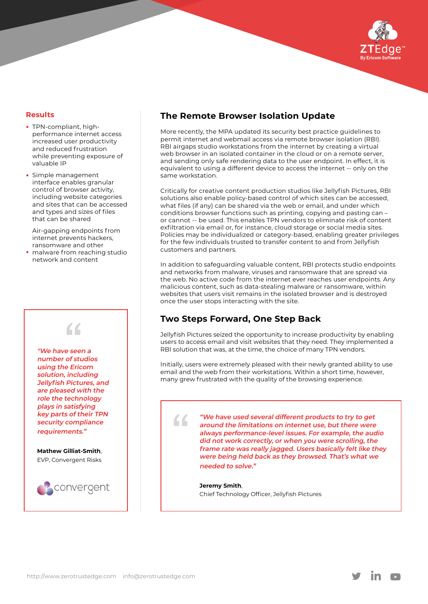

#### **Results**

- TPN-compliant, highperformance internet access increased user productivity and reduced frustration while preventing exposure of valuable IP
- Simple management interface enables granular control of browser activity, including website categories and sites that can be accessed and types and sizes of files that can be shared

Air-gapping endpoints from internet prevents hackers, ransomware and other

malware from reaching studio network and content

# $\epsilon$ **"We have seen a number of studios**

**using the Ericom solution, including Jellyfish Pictures, and are pleased with the role the technology plays in satisfying key parts of their TPN security compliance** 

**requirements."**

**Mathew Gilliat‑Smith**, EVP, Convergent Risks



# **The Remote Browser Isolation Update**

More recently, the MPA updated its security best practice guidelines to permit internet and webmail access via remote browser isolation (RBI). RBI airgaps studio workstations from the internet by creating a virtual web browser in an isolated container in the cloud or on a remote server, and sending only safe rendering data to the user endpoint. In effect, it is equivalent to using a different device to access the internet -- only on the same workstation.

Critically for creative content production studios like Jellyfish Pictures, RBI solutions also enable policy-based control of which sites can be accessed, what files (if any) can be shared via the web or email, and under which conditions browser functions such as printing, copying and pasting can – or cannot -- be used. This enables TPN vendors to eliminate risk of content exfiltration via email or, for instance, cloud storage or social media sites. Policies may be individualized or category-based, enabling greater privileges for the few individuals trusted to transfer content to and from Jellyfish customers and partners.

In addition to safeguarding valuable content, RBI protects studio endpoints and networks from malware, viruses and ransomware that are spread via the web. No active code from the internet ever reaches user endpoints. Any malicious content, such as data-stealing malware or ransomware, within websites that users visit remains in the isolated browser and is destroyed once the user stops interacting with the site.

# **Two Steps Forward, One Step Back**

"

Jellyfish Pictures seized the opportunity to increase productivity by enabling users to access email and visit websites that they need. They implemented a RBI solution that was, at the time, the choice of many TPN vendors.

Initially, users were extremely pleased with their newly granted ability to use email and the web from their workstations. Within a short time, however, many grew frustrated with the quality of the browsing experience.

> **"We have used several different products to try to get around the limitations on internet use, but there were always performance-level issues. For example, the audio did not work correctly, or when you were scrolling, the frame rate was really jagged. Users basically felt like they were being held back as they browsed. That's what we needed to solve."**

**Jeremy Smith**, Chief Technology Officer, Jellyfish Pictures